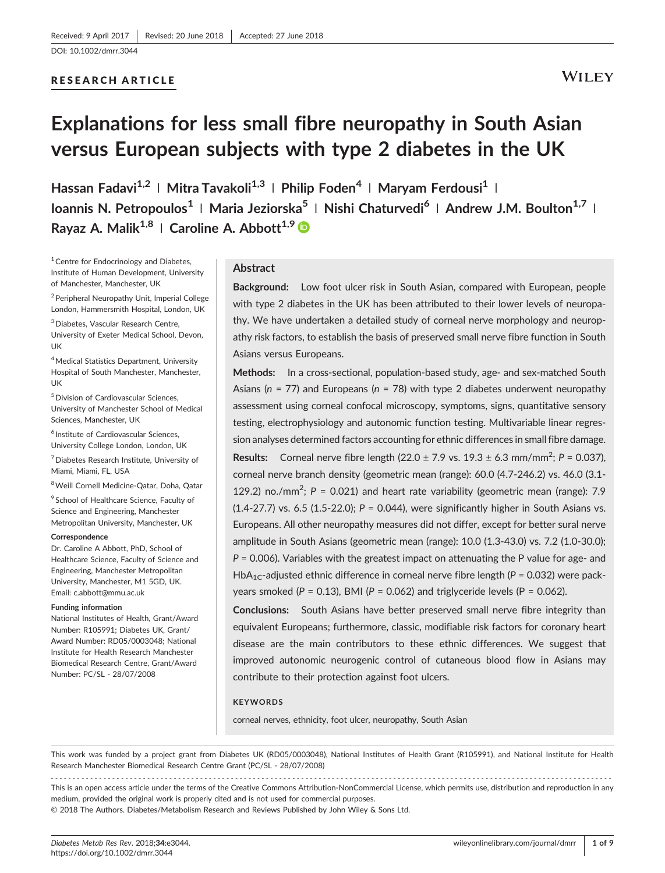## RESEARCH ARTICLE

## **WILEY**

# Explanations for less small fibre neuropathy in South Asian versus European subjects with type 2 diabetes in the UK

Hassan Fadavi<sup>1,2</sup> | Mitra Tavakoli<sup>1,3</sup> | Philip Foden<sup>4</sup> | Maryam Ferdousi<sup>1</sup> | Ioannis N. Petropoulos<sup>1</sup> | Maria Jeziorska<sup>5</sup> | Nishi Chaturvedi<sup>6</sup> | Andrew J.M. Boulton<sup>1,7</sup> | Rayaz A. Malik<sup>1,8</sup> | Caroline A. Abbott<sup>1,9</sup>

<sup>1</sup> Centre for Endocrinology and Diabetes, Institute of Human Development, University of Manchester, Manchester, UK

<sup>2</sup> Peripheral Neuropathy Unit, Imperial College London, Hammersmith Hospital, London, UK

3Diabetes, Vascular Research Centre,

University of Exeter Medical School, Devon, UK

<sup>4</sup> Medical Statistics Department, University Hospital of South Manchester, Manchester, UK

5Division of Cardiovascular Sciences, University of Manchester School of Medical Sciences, Manchester, UK

<sup>6</sup> Institute of Cardiovascular Sciences, University College London, London, UK

7Diabetes Research Institute, University of Miami, Miami, FL, USA

8Weill Cornell Medicine‐Qatar, Doha, Qatar

<sup>9</sup> School of Healthcare Science, Faculty of Science and Engineering, Manchester Metropolitan University, Manchester, UK

#### Correspondence

Dr. Caroline A Abbott, PhD, School of Healthcare Science, Faculty of Science and Engineering, Manchester Metropolitan University, Manchester, M1 5GD, UK. Email: [c.abbott@mmu.ac.uk](mailto:c.abbott@mmu.ac.uk)

#### Funding information

National Institutes of Health, Grant/Award Number: R105991; Diabetes UK, Grant/ Award Number: RD05/0003048; National Institute for Health Research Manchester Biomedical Research Centre, Grant/Award Number: PC/SL ‐ 28/07/2008

### Abstract

Background: Low foot ulcer risk in South Asian, compared with European, people with type 2 diabetes in the UK has been attributed to their lower levels of neuropathy. We have undertaken a detailed study of corneal nerve morphology and neuropathy risk factors, to establish the basis of preserved small nerve fibre function in South Asians versus Europeans.

Methods: In a cross-sectional, population-based study, age- and sex-matched South Asians ( $n = 77$ ) and Europeans ( $n = 78$ ) with type 2 diabetes underwent neuropathy assessment using corneal confocal microscopy, symptoms, signs, quantitative sensory testing, electrophysiology and autonomic function testing. Multivariable linear regression analyses determined factors accounting for ethnic differences in small fibre damage. **Results:** Corneal nerve fibre length (22.0  $\pm$  7.9 vs. 19.3  $\pm$  6.3 mm/mm<sup>2</sup>; P = 0.037), corneal nerve branch density (geometric mean (range): 60.0 (4.7‐246.2) vs. 46.0 (3.1‐ 129.2) no./mm<sup>2</sup>;  $P = 0.021$ ) and heart rate variability (geometric mean (range): 7.9  $(1.4-27.7)$  vs. 6.5  $(1.5-22.0)$ ; P = 0.044), were significantly higher in South Asians vs. Europeans. All other neuropathy measures did not differ, except for better sural nerve amplitude in South Asians (geometric mean (range): 10.0 (1.3‐43.0) vs. 7.2 (1.0‐30.0);  $P = 0.006$ ). Variables with the greatest impact on attenuating the P value for age- and HbA<sub>1C</sub>-adjusted ethnic difference in corneal nerve fibre length (P = 0.032) were packyears smoked ( $P = 0.13$ ), BMI ( $P = 0.062$ ) and triglyceride levels ( $P = 0.062$ ).

Conclusions: South Asians have better preserved small nerve fibre integrity than equivalent Europeans; furthermore, classic, modifiable risk factors for coronary heart disease are the main contributors to these ethnic differences. We suggest that improved autonomic neurogenic control of cutaneous blood flow in Asians may contribute to their protection against foot ulcers.

#### **KEYWORDS**

corneal nerves, ethnicity, foot ulcer, neuropathy, South Asian

This work was funded by a project grant from Diabetes UK (RD05/0003048), National Institutes of Health Grant (R105991), and National Institute for Health Research Manchester Biomedical Research Centre Grant (PC/SL ‐ 28/07/2008)

------------------------------------------------------------------------------------------------------------------------------- - This is an open access article under the terms of the [Creative Commons Attribution](http://creativecommons.org/licenses/by-nc/4.0/)‐NonCommercial License, which permits use, distribution and reproduction in any medium, provided the original work is properly cited and is not used for commercial purposes.

© 2018 The Authors. Diabetes/Metabolism Research and Reviews Published by John Wiley & Sons Ltd.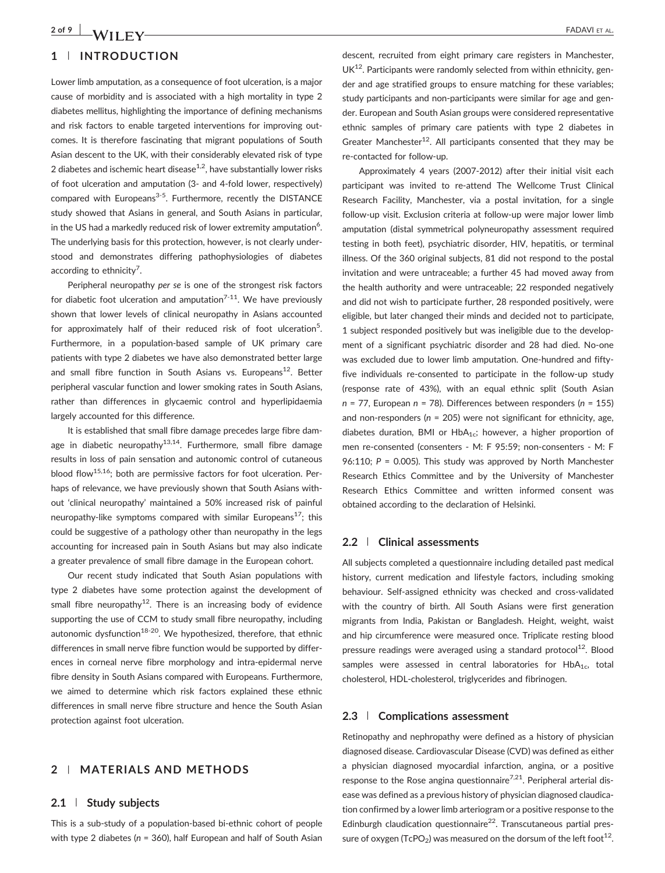## 1 | INTRODUCTION

Lower limb amputation, as a consequence of foot ulceration, is a major cause of morbidity and is associated with a high mortality in type 2 diabetes mellitus, highlighting the importance of defining mechanisms and risk factors to enable targeted interventions for improving outcomes. It is therefore fascinating that migrant populations of South Asian descent to the UK, with their considerably elevated risk of type 2 diabetes and ischemic heart disease<sup>1,2</sup>, have substantially lower risks of foot ulceration and amputation (3‐ and 4‐fold lower, respectively) compared with Europeans<sup>3-5</sup>. Furthermore, recently the DISTANCE study showed that Asians in general, and South Asians in particular, in the US had a markedly reduced risk of lower extremity amputation $^6$ . The underlying basis for this protection, however, is not clearly understood and demonstrates differing pathophysiologies of diabetes according to ethnicity<sup>7</sup>.

Peripheral neuropathy per se is one of the strongest risk factors for diabetic foot ulceration and amputation<sup>7-11</sup>. We have previously shown that lower levels of clinical neuropathy in Asians accounted for approximately half of their reduced risk of foot ulceration<sup>5</sup>. Furthermore, in a population-based sample of UK primary care patients with type 2 diabetes we have also demonstrated better large and small fibre function in South Asians vs. Europeans<sup>12</sup>. Better peripheral vascular function and lower smoking rates in South Asians, rather than differences in glycaemic control and hyperlipidaemia largely accounted for this difference.

It is established that small fibre damage precedes large fibre damage in diabetic neuropathy<sup>13,14</sup>. Furthermore, small fibre damage results in loss of pain sensation and autonomic control of cutaneous blood flow<sup>15,16</sup>; both are permissive factors for foot ulceration. Perhaps of relevance, we have previously shown that South Asians without 'clinical neuropathy' maintained a 50% increased risk of painful neuropathy-like symptoms compared with similar Europeans<sup>17</sup>; this could be suggestive of a pathology other than neuropathy in the legs accounting for increased pain in South Asians but may also indicate a greater prevalence of small fibre damage in the European cohort.

Our recent study indicated that South Asian populations with type 2 diabetes have some protection against the development of small fibre neuropathy<sup>12</sup>. There is an increasing body of evidence supporting the use of CCM to study small fibre neuropathy, including autonomic dysfunction<sup>18-20</sup>. We hypothesized, therefore, that ethnic differences in small nerve fibre function would be supported by differences in corneal nerve fibre morphology and intra‐epidermal nerve fibre density in South Asians compared with Europeans. Furthermore, we aimed to determine which risk factors explained these ethnic differences in small nerve fibre structure and hence the South Asian protection against foot ulceration.

## 2 | MATERIALS AND METHODS

## 2.1 | Study subjects

This is a sub‐study of a population‐based bi‐ethnic cohort of people with type 2 diabetes ( $n = 360$ ), half European and half of South Asian

descent, recruited from eight primary care registers in Manchester,  $UK<sup>12</sup>$ . Participants were randomly selected from within ethnicity, gender and age stratified groups to ensure matching for these variables; study participants and non‐participants were similar for age and gender. European and South Asian groups were considered representative ethnic samples of primary care patients with type 2 diabetes in Greater Manchester<sup>12</sup>. All participants consented that they may be re‐contacted for follow‐up.

Approximately 4 years (2007‐2012) after their initial visit each participant was invited to re‐attend The Wellcome Trust Clinical Research Facility, Manchester, via a postal invitation, for a single follow‐up visit. Exclusion criteria at follow‐up were major lower limb amputation (distal symmetrical polyneuropathy assessment required testing in both feet), psychiatric disorder, HIV, hepatitis, or terminal illness. Of the 360 original subjects, 81 did not respond to the postal invitation and were untraceable; a further 45 had moved away from the health authority and were untraceable; 22 responded negatively and did not wish to participate further, 28 responded positively, were eligible, but later changed their minds and decided not to participate, 1 subject responded positively but was ineligible due to the development of a significant psychiatric disorder and 28 had died. No‐one was excluded due to lower limb amputation. One-hundred and fiftyfive individuals re‐consented to participate in the follow‐up study (response rate of 43%), with an equal ethnic split (South Asian  $n = 77$ , European  $n = 78$ ). Differences between responders ( $n = 155$ ) and non-responders ( $n = 205$ ) were not significant for ethnicity, age, diabetes duration, BMI or  $HbA_{1c}$ ; however, a higher proportion of men re-consented (consenters - M: F 95:59; non-consenters - M: F 96:110;  $P = 0.005$ ). This study was approved by North Manchester Research Ethics Committee and by the University of Manchester Research Ethics Committee and written informed consent was obtained according to the declaration of Helsinki.

#### 2.2 | Clinical assessments

All subjects completed a questionnaire including detailed past medical history, current medication and lifestyle factors, including smoking behaviour. Self‐assigned ethnicity was checked and cross‐validated with the country of birth. All South Asians were first generation migrants from India, Pakistan or Bangladesh. Height, weight, waist and hip circumference were measured once. Triplicate resting blood pressure readings were averaged using a standard protocol $^{12}$ . Blood samples were assessed in central laboratories for  $HbA<sub>1c</sub>$ , total cholesterol, HDL‐cholesterol, triglycerides and fibrinogen.

## 2.3 | Complications assessment

Retinopathy and nephropathy were defined as a history of physician diagnosed disease. Cardiovascular Disease (CVD) was defined as either a physician diagnosed myocardial infarction, angina, or a positive response to the Rose angina questionnaire<sup>7,21</sup>. Peripheral arterial disease was defined as a previous history of physician diagnosed claudication confirmed by a lower limb arteriogram or a positive response to the Edinburgh claudication questionnaire<sup>22</sup>. Transcutaneous partial pressure of oxygen (TcPO<sub>2</sub>) was measured on the dorsum of the left foot<sup>12</sup>.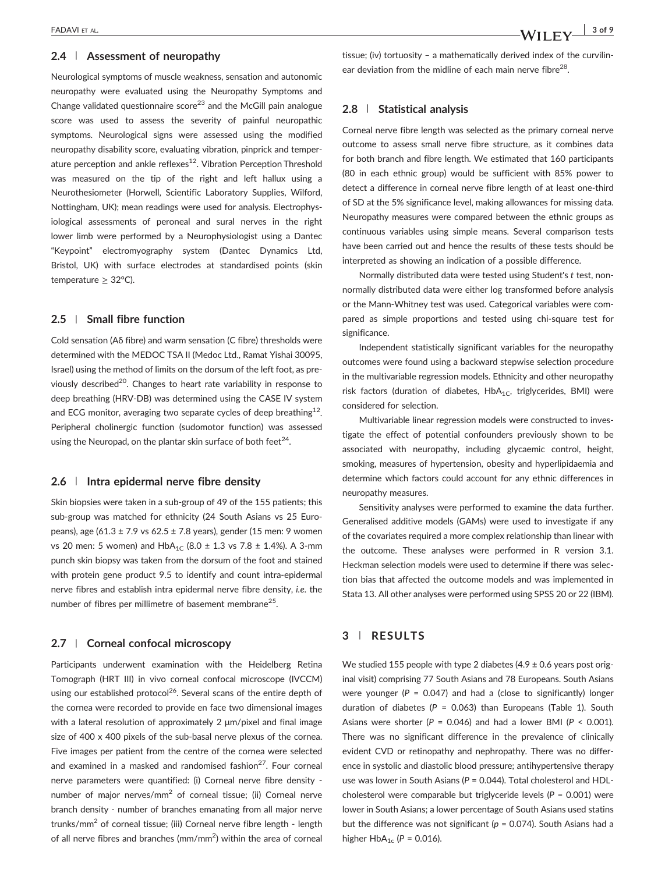### 2.4 | Assessment of neuropathy

Neurological symptoms of muscle weakness, sensation and autonomic neuropathy were evaluated using the Neuropathy Symptoms and Change validated questionnaire score<sup>23</sup> and the McGill pain analogue score was used to assess the severity of painful neuropathic symptoms. Neurological signs were assessed using the modified neuropathy disability score, evaluating vibration, pinprick and temperature perception and ankle reflexes<sup>12</sup>. Vibration Perception Threshold was measured on the tip of the right and left hallux using a Neurothesiometer (Horwell, Scientific Laboratory Supplies, Wilford, Nottingham, UK); mean readings were used for analysis. Electrophysiological assessments of peroneal and sural nerves in the right lower limb were performed by a Neurophysiologist using a Dantec "Keypoint" electromyography system (Dantec Dynamics Ltd, Bristol, UK) with surface electrodes at standardised points (skin temperature  $\geq$  32°C).

## 2.5 | Small fibre function

Cold sensation (Aδ fibre) and warm sensation (C fibre) thresholds were determined with the MEDOC TSA II (Medoc Ltd., Ramat Yishai 30095, Israel) using the method of limits on the dorsum of the left foot, as previously described<sup>20</sup>. Changes to heart rate variability in response to deep breathing (HRV‐DB) was determined using the CASE IV system and ECG monitor, averaging two separate cycles of deep breathing<sup>12</sup>. Peripheral cholinergic function (sudomotor function) was assessed using the Neuropad, on the plantar skin surface of both feet $^{24}$ .

## 2.6 | Intra epidermal nerve fibre density

Skin biopsies were taken in a sub‐group of 49 of the 155 patients; this sub‐group was matched for ethnicity (24 South Asians vs 25 Europeans), age (61.3  $\pm$  7.9 vs 62.5  $\pm$  7.8 years), gender (15 men: 9 women vs 20 men: 5 women) and  $HbA_{1C}$  (8.0  $\pm$  1.3 vs 7.8  $\pm$  1.4%). A 3-mm punch skin biopsy was taken from the dorsum of the foot and stained with protein gene product 9.5 to identify and count intra-epidermal nerve fibres and establish intra epidermal nerve fibre density, i.e. the number of fibres per millimetre of basement membrane<sup>25</sup>.

## 2.7 | Corneal confocal microscopy

Participants underwent examination with the Heidelberg Retina Tomograph (HRT III) in vivo corneal confocal microscope (IVCCM) using our established protocol<sup>26</sup>. Several scans of the entire depth of the cornea were recorded to provide en face two dimensional images with a lateral resolution of approximately 2 μm/pixel and final image size of 400 x 400 pixels of the sub-basal nerve plexus of the cornea. Five images per patient from the centre of the cornea were selected and examined in a masked and randomised fashion $27$ . Four corneal nerve parameters were quantified: (i) Corneal nerve fibre density ‐ number of major nerves/mm<sup>2</sup> of corneal tissue; (ii) Corneal nerve branch density ‐ number of branches emanating from all major nerve trunks/mm<sup>2</sup> of corneal tissue; (iii) Corneal nerve fibre length - length of all nerve fibres and branches (mm/mm<sup>2</sup>) within the area of corneal

tissue; (iv) tortuosity – a mathematically derived index of the curvilinear deviation from the midline of each main nerve fibre<sup>28</sup>.

#### 2.8 | Statistical analysis

Corneal nerve fibre length was selected as the primary corneal nerve outcome to assess small nerve fibre structure, as it combines data for both branch and fibre length. We estimated that 160 participants (80 in each ethnic group) would be sufficient with 85% power to detect a difference in corneal nerve fibre length of at least one‐third of SD at the 5% significance level, making allowances for missing data. Neuropathy measures were compared between the ethnic groups as continuous variables using simple means. Several comparison tests have been carried out and hence the results of these tests should be interpreted as showing an indication of a possible difference.

Normally distributed data were tested using Student's t test, non‐ normally distributed data were either log transformed before analysis or the Mann‐Whitney test was used. Categorical variables were compared as simple proportions and tested using chi‐square test for significance.

Independent statistically significant variables for the neuropathy outcomes were found using a backward stepwise selection procedure in the multivariable regression models. Ethnicity and other neuropathy risk factors (duration of diabetes,  $HbA_{1C}$ , triglycerides, BMI) were considered for selection.

Multivariable linear regression models were constructed to investigate the effect of potential confounders previously shown to be associated with neuropathy, including glycaemic control, height, smoking, measures of hypertension, obesity and hyperlipidaemia and determine which factors could account for any ethnic differences in neuropathy measures.

Sensitivity analyses were performed to examine the data further. Generalised additive models (GAMs) were used to investigate if any of the covariates required a more complex relationship than linear with the outcome. These analyses were performed in R version 3.1. Heckman selection models were used to determine if there was selection bias that affected the outcome models and was implemented in Stata 13. All other analyses were performed using SPSS 20 or 22 (IBM).

## 3 | RESULTS

We studied 155 people with type 2 diabetes  $(4.9 \pm 0.6$  years post original visit) comprising 77 South Asians and 78 Europeans. South Asians were younger ( $P = 0.047$ ) and had a (close to significantly) longer duration of diabetes ( $P = 0.063$ ) than Europeans (Table 1). South Asians were shorter ( $P = 0.046$ ) and had a lower BMI ( $P < 0.001$ ). There was no significant difference in the prevalence of clinically evident CVD or retinopathy and nephropathy. There was no difference in systolic and diastolic blood pressure; antihypertensive therapy use was lower in South Asians ( $P = 0.044$ ). Total cholesterol and HDLcholesterol were comparable but triglyceride levels ( $P = 0.001$ ) were lower in South Asians; a lower percentage of South Asians used statins but the difference was not significant ( $p = 0.074$ ). South Asians had a higher  $HbA_{1c}$  (P = 0.016).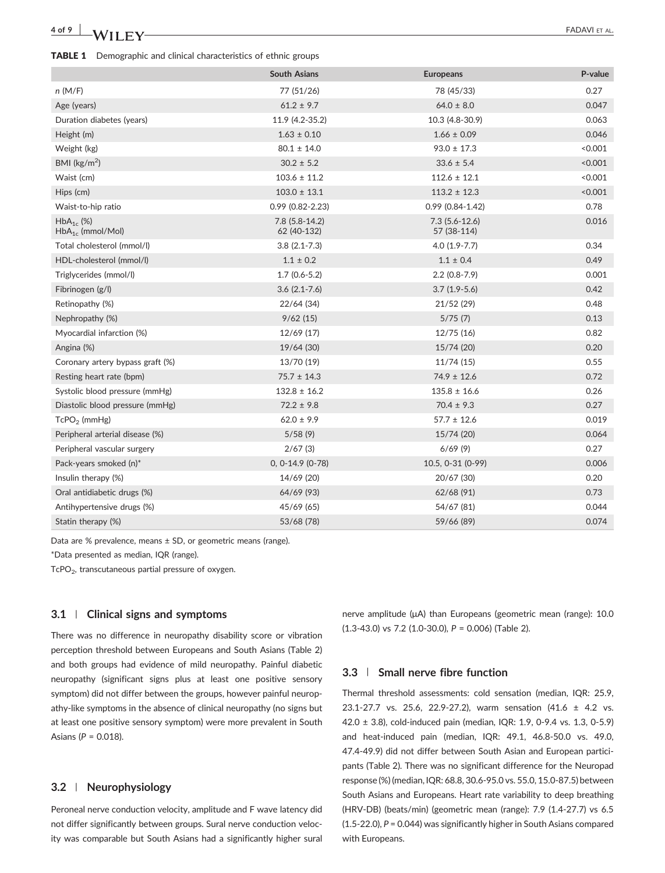# 4 of 9  $\blacksquare$   $\blacksquare$   $\blacksquare$   $\blacksquare$   $\blacksquare$   $\blacksquare$   $\blacksquare$   $\blacksquare$   $\blacksquare$   $\blacksquare$   $\blacksquare$   $\blacksquare$   $\blacksquare$   $\blacksquare$   $\blacksquare$   $\blacksquare$   $\blacksquare$   $\blacksquare$   $\blacksquare$   $\blacksquare$   $\blacksquare$   $\blacksquare$   $\blacksquare$   $\blacksquare$   $\blacksquare$   $\blacksquare$   $\blacksquare$   $\blacksquare$   $\blacksquare$   $\blacksquare$   $\blacksquare$

#### TABLE 1 Demographic and clinical characteristics of ethnic groups

|                                         | <b>South Asians</b>           | <b>Europeans</b>               | P-value |
|-----------------------------------------|-------------------------------|--------------------------------|---------|
| n(M/F)                                  | 77 (51/26)                    | 78 (45/33)                     | 0.27    |
| Age (years)                             | $61.2 \pm 9.7$                | $64.0 \pm 8.0$                 | 0.047   |
| Duration diabetes (years)               | 11.9 (4.2-35.2)               | 10.3 (4.8-30.9)                | 0.063   |
| Height (m)                              | $1.63 \pm 0.10$               | $1.66 \pm 0.09$                | 0.046   |
| Weight (kg)                             | $80.1 \pm 14.0$               | $93.0 \pm 17.3$                | < 0.001 |
| BMI ( $\text{kg/m}^2$ )                 | $30.2 \pm 5.2$                | $33.6 \pm 5.4$                 | < 0.001 |
| Waist (cm)                              | $103.6 \pm 11.2$              | $112.6 \pm 12.1$               | < 0.001 |
| Hips (cm)                               | $103.0 \pm 13.1$              | $113.2 \pm 12.3$               | < 0.001 |
| Waist-to-hip ratio                      | $0.99(0.82 - 2.23)$           | $0.99(0.84 - 1.42)$            | 0.78    |
| $HbA_{1c}$ (%)<br>$HbA_{1c}$ (mmol/Mol) | 7.8 (5.8-14.2)<br>62 (40-132) | $7.3(5.6-12.6)$<br>57 (38-114) | 0.016   |
| Total cholesterol (mmol/l)              | $3.8(2.1 - 7.3)$              | $4.0(1.9-7.7)$                 | 0.34    |
| HDL-cholesterol (mmol/l)                | $1.1 \pm 0.2$                 | $1.1 \pm 0.4$                  | 0.49    |
| Triglycerides (mmol/l)                  | $1.7(0.6-5.2)$                | $2.2(0.8-7.9)$                 | 0.001   |
| Fibrinogen (g/l)                        | $3.6(2.1-7.6)$                | $3.7(1.9-5.6)$                 | 0.42    |
| Retinopathy (%)                         | 22/64 (34)                    | 21/52(29)                      | 0.48    |
| Nephropathy (%)                         | 9/62(15)                      | 5/75(7)                        | 0.13    |
| Myocardial infarction (%)               | 12/69 (17)                    | 12/75(16)                      | 0.82    |
| Angina (%)                              | 19/64 (30)                    | 15/74 (20)                     | 0.20    |
| Coronary artery bypass graft (%)        | 13/70 (19)                    | 11/74(15)                      | 0.55    |
| Resting heart rate (bpm)                | $75.7 \pm 14.3$               | $74.9 \pm 12.6$                | 0.72    |
| Systolic blood pressure (mmHg)          | $132.8 \pm 16.2$              | $135.8 \pm 16.6$               | 0.26    |
| Diastolic blood pressure (mmHg)         | $72.2 \pm 9.8$                | $70.4 \pm 9.3$                 | 0.27    |
| $TcPO2$ (mmHg)                          | $62.0 \pm 9.9$                | $57.7 \pm 12.6$                | 0.019   |
| Peripheral arterial disease (%)         | 5/58(9)                       | 15/74 (20)                     | 0.064   |
| Peripheral vascular surgery             | 2/67(3)                       | 6/69(9)                        | 0.27    |
| Pack-years smoked (n)*                  | $0, 0-14.9 (0-78)$            | 10.5, 0-31 (0-99)              | 0.006   |
| Insulin therapy (%)                     | 14/69 (20)                    | 20/67 (30)                     | 0.20    |
| Oral antidiabetic drugs (%)             | 64/69 (93)                    | 62/68 (91)                     | 0.73    |
| Antihypertensive drugs (%)              | 45/69 (65)                    | 54/67 (81)                     | 0.044   |
| Statin therapy (%)                      | 53/68 (78)                    | 59/66 (89)                     | 0.074   |

Data are % prevalence, means ± SD, or geometric means (range).

\*Data presented as median, IQR (range).

TcPO<sub>2</sub>, transcutaneous partial pressure of oxygen.

## 3.1 | Clinical signs and symptoms

There was no difference in neuropathy disability score or vibration perception threshold between Europeans and South Asians (Table 2) and both groups had evidence of mild neuropathy. Painful diabetic neuropathy (significant signs plus at least one positive sensory symptom) did not differ between the groups, however painful neuropathy‐like symptoms in the absence of clinical neuropathy (no signs but at least one positive sensory symptom) were more prevalent in South Asians ( $P = 0.018$ ).

## 3.2 | Neurophysiology

Peroneal nerve conduction velocity, amplitude and F wave latency did not differ significantly between groups. Sural nerve conduction velocity was comparable but South Asians had a significantly higher sural

nerve amplitude (μA) than Europeans (geometric mean (range): 10.0 (1.3‐43.0) vs 7.2 (1.0‐30.0), P = 0.006) (Table 2).

## 3.3 | Small nerve fibre function

Thermal threshold assessments: cold sensation (median, IQR: 25.9, 23.1‐27.7 vs. 25.6, 22.9‐27.2), warm sensation (41.6 ± 4.2 vs. 42.0 ± 3.8), cold‐induced pain (median, IQR: 1.9, 0‐9.4 vs. 1.3, 0‐5.9) and heat-induced pain (median, IQR: 49.1, 46.8-50.0 vs. 49.0, 47.4‐49.9) did not differ between South Asian and European participants (Table 2). There was no significant difference for the Neuropad response (%) (median, IQR: 68.8, 30.6‐95.0 vs. 55.0, 15.0‐87.5) between South Asians and Europeans. Heart rate variability to deep breathing (HRV‐DB) (beats/min) (geometric mean (range): 7.9 (1.4‐27.7) vs 6.5 (1.5‐22.0), P = 0.044) was significantly higher in South Asians compared with Europeans.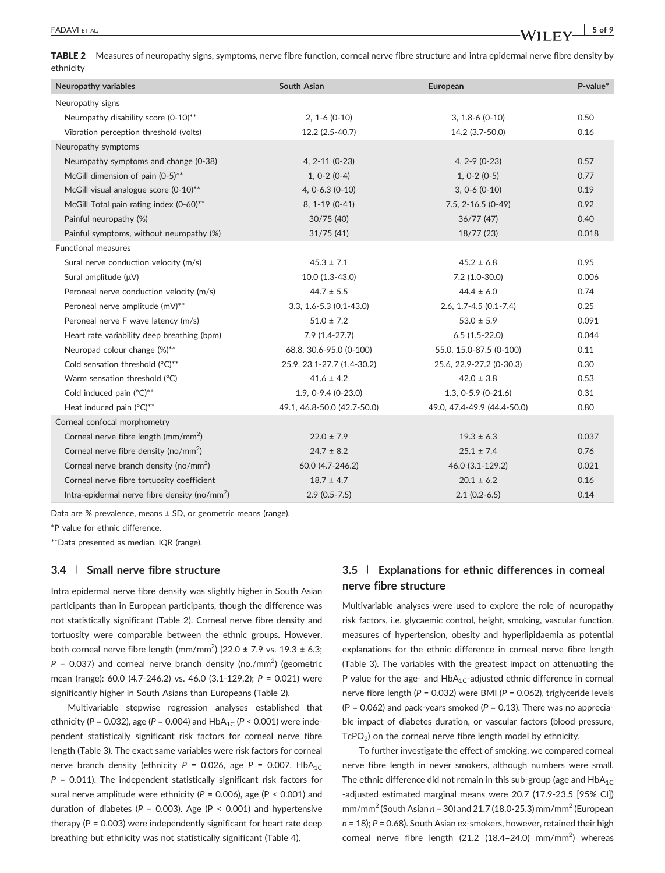TABLE 2 Measures of neuropathy signs, symptoms, nerve fibre function, corneal nerve fibre structure and intra epidermal nerve fibre density by ethnicity

| Neuropathy variables                                      | <b>South Asian</b>          | European                     | $P-value*$ |
|-----------------------------------------------------------|-----------------------------|------------------------------|------------|
| Neuropathy signs                                          |                             |                              |            |
| Neuropathy disability score (0-10)**                      | $2, 1 - 6 (0 - 10)$         | $3, 1.8 - 6$ (0-10)          | 0.50       |
| Vibration perception threshold (volts)                    | 12.2 (2.5-40.7)             | 14.2 (3.7-50.0)              | 0.16       |
| Neuropathy symptoms                                       |                             |                              |            |
| Neuropathy symptoms and change (0-38)                     | $4, 2-11 (0-23)$            | $4, 2 - 9 (0 - 23)$          | 0.57       |
| McGill dimension of pain (0-5)**                          | $1, 0-2 (0-4)$              | $1, 0-2 (0-5)$               | 0.77       |
| McGill visual analogue score (0-10)**                     | $4, 0-6.3 (0-10)$           | $3, 0-6$ (0-10)              | 0.19       |
| McGill Total pain rating index (0-60)**                   | 8, 1-19 (0-41)              | $7.5, 2 - 16.5 (0 - 49)$     | 0.92       |
| Painful neuropathy (%)                                    | 30/75(40)                   | 36/77(47)                    | 0.40       |
| Painful symptoms, without neuropathy (%)                  | 31/75(41)                   | 18/77(23)                    | 0.018      |
| <b>Functional measures</b>                                |                             |                              |            |
| Sural nerve conduction velocity (m/s)                     | $45.3 \pm 7.1$              | $45.2 \pm 6.8$               | 0.95       |
| Sural amplitude $(\mu V)$                                 | 10.0 (1.3-43.0)             | $7.2$ (1.0-30.0)             | 0.006      |
| Peroneal nerve conduction velocity (m/s)                  | $44.7 \pm 5.5$              | $44.4 \pm 6.0$               | 0.74       |
| Peroneal nerve amplitude (mV)**                           | $3.3, 1.6 - 5.3$ (0.1-43.0) | $2.6, 1.7 - 4.5 (0.1 - 7.4)$ | 0.25       |
| Peroneal nerve F wave latency (m/s)                       | $51.0 \pm 7.2$              | $53.0 \pm 5.9$               | 0.091      |
| Heart rate variability deep breathing (bpm)               | $7.9(1.4-27.7)$             | $6.5(1.5-22.0)$              | 0.044      |
| Neuropad colour change (%)**                              | 68.8, 30.6-95.0 (0-100)     | 55.0, 15.0-87.5 (0-100)      | 0.11       |
| Cold sensation threshold (°C)**                           | 25.9, 23.1-27.7 (1.4-30.2)  | 25.6, 22.9-27.2 (0-30.3)     | 0.30       |
| Warm sensation threshold (°C)                             | $41.6 \pm 4.2$              | $42.0 \pm 3.8$               | 0.53       |
| Cold induced pain (°C)**                                  | 1.9, 0-9.4 (0-23.0)         | $1.3, 0-5.9$ (0-21.6)        | 0.31       |
| Heat induced pain (°C)**                                  | 49.1, 46.8-50.0 (42.7-50.0) | 49.0. 47.4-49.9 (44.4-50.0)  | 0.80       |
| Corneal confocal morphometry                              |                             |                              |            |
| Corneal nerve fibre length $\frac{mm}{mm^2}$              | $22.0 \pm 7.9$              | $19.3 \pm 6.3$               | 0.037      |
| Corneal nerve fibre density (no/mm <sup>2</sup> )         | $24.7 \pm 8.2$              | $25.1 \pm 7.4$               | 0.76       |
| Corneal nerve branch density (no/mm <sup>2</sup> )        | 60.0 (4.7-246.2)            | 46.0 (3.1-129.2)             | 0.021      |
| Corneal nerve fibre tortuosity coefficient                | $18.7 \pm 4.7$              | $20.1 \pm 6.2$               | 0.16       |
| Intra-epidermal nerve fibre density (no/mm <sup>2</sup> ) | $2.9(0.5-7.5)$              | $2.1(0.2-6.5)$               | 0.14       |
|                                                           |                             |                              |            |

Data are % prevalence, means ± SD, or geometric means (range).

\*P value for ethnic difference.

\*\*Data presented as median, IQR (range).

## 3.4 | Small nerve fibre structure

Intra epidermal nerve fibre density was slightly higher in South Asian participants than in European participants, though the difference was not statistically significant (Table 2). Corneal nerve fibre density and tortuosity were comparable between the ethnic groups. However, both corneal nerve fibre length (mm/mm<sup>2</sup>) (22.0  $\pm$  7.9 vs. 19.3  $\pm$  6.3;  $P = 0.037$ ) and corneal nerve branch density (no./mm<sup>2</sup>) (geometric mean (range): 60.0 (4.7‐246.2) vs. 46.0 (3.1‐129.2); P = 0.021) were significantly higher in South Asians than Europeans (Table 2).

Multivariable stepwise regression analyses established that ethnicity (P = 0.032), age (P = 0.004) and  $HbA_{1C}$  (P < 0.001) were independent statistically significant risk factors for corneal nerve fibre length (Table 3). The exact same variables were risk factors for corneal nerve branch density (ethnicity  $P = 0.026$ , age  $P = 0.007$ , HbA<sub>1C</sub>  $P = 0.011$ ). The independent statistically significant risk factors for sural nerve amplitude were ethnicity ( $P = 0.006$ ), age ( $P < 0.001$ ) and duration of diabetes ( $P = 0.003$ ). Age ( $P < 0.001$ ) and hypertensive therapy ( $P = 0.003$ ) were independently significant for heart rate deep breathing but ethnicity was not statistically significant (Table 4).

## 3.5 | Explanations for ethnic differences in corneal nerve fibre structure

Multivariable analyses were used to explore the role of neuropathy risk factors, i.e. glycaemic control, height, smoking, vascular function, measures of hypertension, obesity and hyperlipidaemia as potential explanations for the ethnic difference in corneal nerve fibre length (Table 3). The variables with the greatest impact on attenuating the P value for the age- and  $HbA_{1C}$ -adjusted ethnic difference in corneal nerve fibre length (P = 0.032) were BMI (P = 0.062), triglyceride levels (P = 0.062) and pack-years smoked ( $P = 0.13$ ). There was no appreciable impact of diabetes duration, or vascular factors (blood pressure,  $TcPO<sub>2</sub>$ ) on the corneal nerve fibre length model by ethnicity.

To further investigate the effect of smoking, we compared corneal nerve fibre length in never smokers, although numbers were small. The ethnic difference did not remain in this sub-group (age and  $HbA_{1C}$ ‐adjusted estimated marginal means were 20.7 (17.9‐23.5 [95% CI])  $mm/mm<sup>2</sup>$  (South Asian n = 30) and 21.7 (18.0-25.3) mm/mm<sup>2</sup> (European  $n = 18$ ;  $P = 0.68$ ). South Asian ex-smokers, however, retained their high corneal nerve fibre length  $(21.2 (18.4-24.0)$  mm/mm<sup>2</sup>) whereas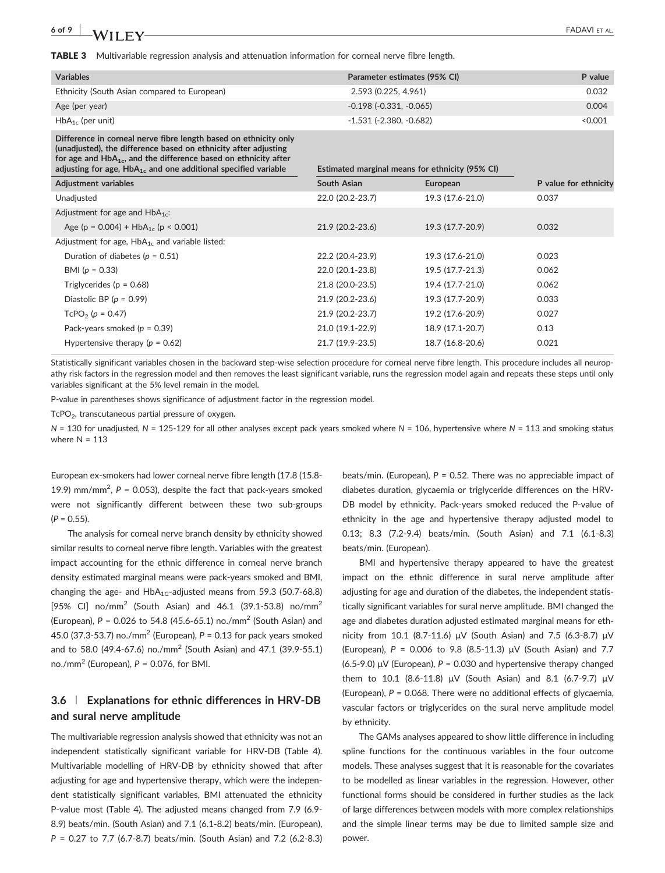| <b>Variables</b>                                                                                                                                                                                                                                                                   | Parameter estimates (95% CI)                    |                  | P value               |
|------------------------------------------------------------------------------------------------------------------------------------------------------------------------------------------------------------------------------------------------------------------------------------|-------------------------------------------------|------------------|-----------------------|
| Ethnicity (South Asian compared to European)                                                                                                                                                                                                                                       | 2.593 (0.225, 4.961)                            | 0.032            |                       |
| Age (per year)                                                                                                                                                                                                                                                                     | $-0.198$ $(-0.331, -0.065)$                     |                  | 0.004                 |
| $HbA_{1c}$ (per unit)                                                                                                                                                                                                                                                              | $-1.531$ ( $-2.380$ , $-0.682$ )                |                  | < 0.001               |
| Difference in corneal nerve fibre length based on ethnicity only<br>(unadjusted), the difference based on ethnicity after adjusting<br>for age and $HbA_{1c}$ , and the difference based on ethnicity after<br>adjusting for age, $HbA_{1c}$ and one additional specified variable | Estimated marginal means for ethnicity (95% CI) |                  |                       |
| <b>Adjustment variables</b>                                                                                                                                                                                                                                                        | South Asian                                     | European         | P value for ethnicity |
| Unadjusted                                                                                                                                                                                                                                                                         | 22.0 (20.2-23.7)                                | 19.3 (17.6-21.0) | 0.037                 |
| Adjustment for age and $HbA_{1c}$ :                                                                                                                                                                                                                                                |                                                 |                  |                       |
| Age (p = $0.004$ ) + HbA <sub>1c</sub> (p < 0.001)                                                                                                                                                                                                                                 | 21.9 (20.2-23.6)                                | 19.3 (17.7-20.9) | 0.032                 |
| Adjustment for age, $HbA_{1c}$ and variable listed:                                                                                                                                                                                                                                |                                                 |                  |                       |
| Duration of diabetes ( $p = 0.51$ )                                                                                                                                                                                                                                                | 22.2 (20.4-23.9)                                | 19.3 (17.6-21.0) | 0.023                 |
| BMI $(p = 0.33)$                                                                                                                                                                                                                                                                   | 22.0 (20.1-23.8)                                | 19.5 (17.7-21.3) | 0.062                 |
| Triglycerides ( $p = 0.68$ )                                                                                                                                                                                                                                                       | 21.8 (20.0-23.5)                                | 19.4 (17.7-21.0) | 0.062                 |
| Diastolic BP ( $p = 0.99$ )                                                                                                                                                                                                                                                        | 21.9 (20.2-23.6)                                | 19.3 (17.7-20.9) | 0.033                 |
| $TcPO2$ (p = 0.47)                                                                                                                                                                                                                                                                 | 21.9 (20.2-23.7)                                | 19.2 (17.6-20.9) | 0.027                 |
| Pack-years smoked ( $p = 0.39$ )                                                                                                                                                                                                                                                   | 21.0 (19.1-22.9)                                | 18.9 (17.1-20.7) | 0.13                  |
| Hypertensive therapy ( $p = 0.62$ )                                                                                                                                                                                                                                                | 21.7 (19.9-23.5)                                | 18.7 (16.8-20.6) | 0.021                 |

Statistically significant variables chosen in the backward step-wise selection procedure for corneal nerve fibre length. This procedure includes all neuropathy risk factors in the regression model and then removes the least significant variable, runs the regression model again and repeats these steps until only variables significant at the 5% level remain in the model.

P-value in parentheses shows significance of adjustment factor in the regression model.

TcPO<sub>2</sub>, transcutaneous partial pressure of oxygen.

N = 130 for unadjusted, N = 125-129 for all other analyses except pack years smoked where N = 106, hypertensive where N = 113 and smoking status where  $N = 113$ 

European ex‐smokers had lower corneal nerve fibre length (17.8 (15.8‐ 19.9) mm/mm<sup>2</sup>,  $P = 0.053$ ), despite the fact that pack-years smoked were not significantly different between these two sub‐groups  $(P = 0.55)$ .

The analysis for corneal nerve branch density by ethnicity showed similar results to corneal nerve fibre length. Variables with the greatest impact accounting for the ethnic difference in corneal nerve branch density estimated marginal means were pack‐years smoked and BMI, changing the age- and  $HbA_{1C}$ -adjusted means from 59.3 (50.7-68.8) [95% CI] no/mm<sup>2</sup> (South Asian) and 46.1 (39.1-53.8) no/mm<sup>2</sup> (European),  $P = 0.026$  to 54.8 (45.6-65.1) no./mm<sup>2</sup> (South Asian) and 45.0 (37.3-53.7) no./mm<sup>2</sup> (European),  $P = 0.13$  for pack years smoked and to 58.0 (49.4‐67.6) no./mm2 (South Asian) and 47.1 (39.9‐55.1) no./mm<sup>2</sup> (European),  $P = 0.076$ , for BMI.

## 3.6 | Explanations for ethnic differences in HRV‐DB and sural nerve amplitude

The multivariable regression analysis showed that ethnicity was not an independent statistically significant variable for HRV‐DB (Table 4). Multivariable modelling of HRV‐DB by ethnicity showed that after adjusting for age and hypertensive therapy, which were the independent statistically significant variables, BMI attenuated the ethnicity P‐value most (Table 4). The adjusted means changed from 7.9 (6.9‐ 8.9) beats/min. (South Asian) and 7.1 (6.1‐8.2) beats/min. (European), P = 0.27 to 7.7 (6.7‐8.7) beats/min. (South Asian) and 7.2 (6.2‐8.3) beats/min. (European),  $P = 0.52$ . There was no appreciable impact of diabetes duration, glycaemia or triglyceride differences on the HRV‐ DB model by ethnicity. Pack-years smoked reduced the P-value of ethnicity in the age and hypertensive therapy adjusted model to 0.13; 8.3 (7.2‐9.4) beats/min. (South Asian) and 7.1 (6.1‐8.3) beats/min. (European).

BMI and hypertensive therapy appeared to have the greatest impact on the ethnic difference in sural nerve amplitude after adjusting for age and duration of the diabetes, the independent statistically significant variables for sural nerve amplitude. BMI changed the age and diabetes duration adjusted estimated marginal means for ethnicity from 10.1 (8.7‐11.6) μV (South Asian) and 7.5 (6.3‐8.7) μV (European), P = 0.006 to 9.8 (8.5‐11.3) μV (South Asian) and 7.7 (6.5-9.0)  $\mu$ V (European), P = 0.030 and hypertensive therapy changed them to 10.1 (8.6-11.8) μV (South Asian) and 8.1 (6.7-9.7) μV (European),  $P = 0.068$ . There were no additional effects of glycaemia, vascular factors or triglycerides on the sural nerve amplitude model by ethnicity.

The GAMs analyses appeared to show little difference in including spline functions for the continuous variables in the four outcome models. These analyses suggest that it is reasonable for the covariates to be modelled as linear variables in the regression. However, other functional forms should be considered in further studies as the lack of large differences between models with more complex relationships and the simple linear terms may be due to limited sample size and power.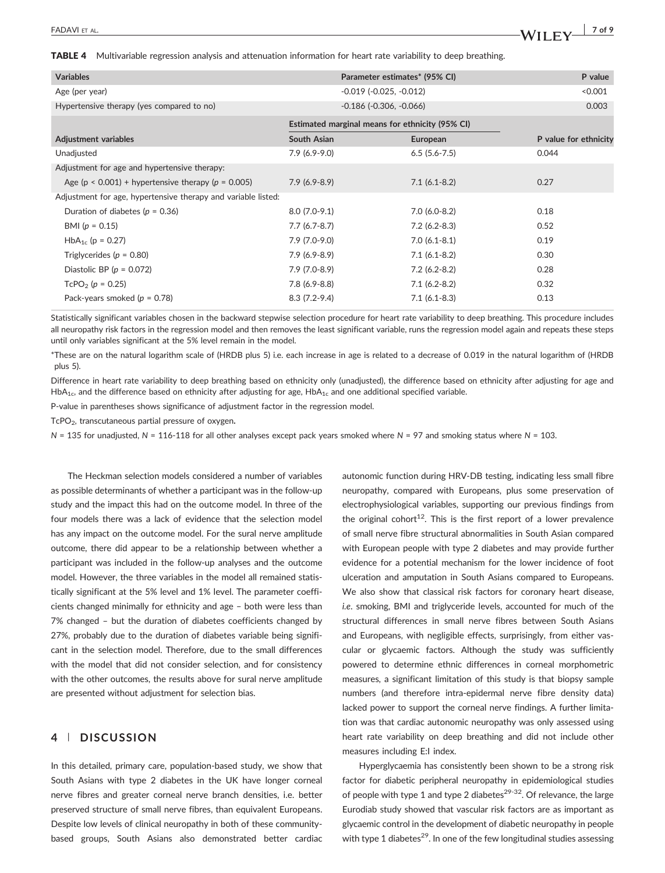TABLE 4 Multivariable regression analysis and attenuation information for heart rate variability to deep breathing.

| <b>Variables</b>                                              |                                                 | Parameter estimates* (95% CI)    | P value               |
|---------------------------------------------------------------|-------------------------------------------------|----------------------------------|-----------------------|
| Age (per year)                                                |                                                 | $-0.019$ $(-0.025, -0.012)$      | < 0.001               |
| Hypertensive therapy (yes compared to no)                     |                                                 | $-0.186$ ( $-0.306$ , $-0.066$ ) | 0.003                 |
|                                                               | Estimated marginal means for ethnicity (95% CI) |                                  |                       |
| Adjustment variables                                          | South Asian                                     | European                         | P value for ethnicity |
| Unadjusted                                                    | $7.9(6.9-9.0)$                                  | $6.5(5.6-7.5)$                   | 0.044                 |
| Adjustment for age and hypertensive therapy:                  |                                                 |                                  |                       |
| Age ( $p < 0.001$ ) + hypertensive therapy ( $p = 0.005$ )    | $7.9(6.9-8.9)$                                  | $7.1(6.1-8.2)$                   | 0.27                  |
| Adjustment for age, hypertensive therapy and variable listed: |                                                 |                                  |                       |
| Duration of diabetes ( $p = 0.36$ )                           | $8.0(7.0-9.1)$                                  | $7.0(6.0-8.2)$                   | 0.18                  |
| BMI $(p = 0.15)$                                              | $7.7(6.7-8.7)$                                  | $7.2(6.2 - 8.3)$                 | 0.52                  |
| $HbA_{1c}$ (p = 0.27)                                         | $7.9(7.0-9.0)$                                  | $7.0(6.1-8.1)$                   | 0.19                  |
| Triglycerides ( $p = 0.80$ )                                  | $7.9(6.9-8.9)$                                  | $7.1(6.1-8.2)$                   | 0.30                  |
| Diastolic BP ( $p = 0.072$ )                                  | $7.9(7.0-8.9)$                                  | $7.2(6.2-8.2)$                   | 0.28                  |
| $TcPO2$ (p = 0.25)                                            | $7.8(6.9-8.8)$                                  | $7.1(6.2-8.2)$                   | 0.32                  |
| Pack-years smoked ( $p = 0.78$ )                              | $8.3(7.2-9.4)$                                  | $7.1(6.1-8.3)$                   | 0.13                  |

Statistically significant variables chosen in the backward stepwise selection procedure for heart rate variability to deep breathing. This procedure includes all neuropathy risk factors in the regression model and then removes the least significant variable, runs the regression model again and repeats these steps until only variables significant at the 5% level remain in the model.

\*These are on the natural logarithm scale of (HRDB plus 5) i.e. each increase in age is related to a decrease of 0.019 in the natural logarithm of (HRDB plus 5).

Difference in heart rate variability to deep breathing based on ethnicity only (unadjusted), the difference based on ethnicity after adjusting for age and  $HbA_{1c}$ , and the difference based on ethnicity after adjusting for age,  $HbA_{1c}$  and one additional specified variable.

P-value in parentheses shows significance of adjustment factor in the regression model.

 $TePO<sub>2</sub>$ , transcutaneous partial pressure of oxygen.

 $N = 135$  for unadjusted,  $N = 116$ -118 for all other analyses except pack years smoked where  $N = 97$  and smoking status where  $N = 103$ .

The Heckman selection models considered a number of variables as possible determinants of whether a participant was in the follow‐up study and the impact this had on the outcome model. In three of the four models there was a lack of evidence that the selection model has any impact on the outcome model. For the sural nerve amplitude outcome, there did appear to be a relationship between whether a participant was included in the follow‐up analyses and the outcome model. However, the three variables in the model all remained statistically significant at the 5% level and 1% level. The parameter coefficients changed minimally for ethnicity and age – both were less than 7% changed – but the duration of diabetes coefficients changed by 27%, probably due to the duration of diabetes variable being significant in the selection model. Therefore, due to the small differences with the model that did not consider selection, and for consistency with the other outcomes, the results above for sural nerve amplitude are presented without adjustment for selection bias.

## 4 | DISCUSSION

In this detailed, primary care, population‐based study, we show that South Asians with type 2 diabetes in the UK have longer corneal nerve fibres and greater corneal nerve branch densities, i.e. better preserved structure of small nerve fibres, than equivalent Europeans. Despite low levels of clinical neuropathy in both of these communitybased groups, South Asians also demonstrated better cardiac

autonomic function during HRV‐DB testing, indicating less small fibre neuropathy, compared with Europeans, plus some preservation of electrophysiological variables, supporting our previous findings from the original cohort<sup>12</sup>. This is the first report of a lower prevalence of small nerve fibre structural abnormalities in South Asian compared with European people with type 2 diabetes and may provide further evidence for a potential mechanism for the lower incidence of foot ulceration and amputation in South Asians compared to Europeans. We also show that classical risk factors for coronary heart disease, i.e. smoking, BMI and triglyceride levels, accounted for much of the structural differences in small nerve fibres between South Asians and Europeans, with negligible effects, surprisingly, from either vascular or glycaemic factors. Although the study was sufficiently powered to determine ethnic differences in corneal morphometric measures, a significant limitation of this study is that biopsy sample numbers (and therefore intra‐epidermal nerve fibre density data) lacked power to support the corneal nerve findings. A further limitation was that cardiac autonomic neuropathy was only assessed using heart rate variability on deep breathing and did not include other measures including E:I index.

Hyperglycaemia has consistently been shown to be a strong risk factor for diabetic peripheral neuropathy in epidemiological studies of people with type 1 and type 2 diabetes<sup>29-32</sup>. Of relevance, the large Eurodiab study showed that vascular risk factors are as important as glycaemic control in the development of diabetic neuropathy in people with type 1 diabetes<sup>29</sup>. In one of the few longitudinal studies assessing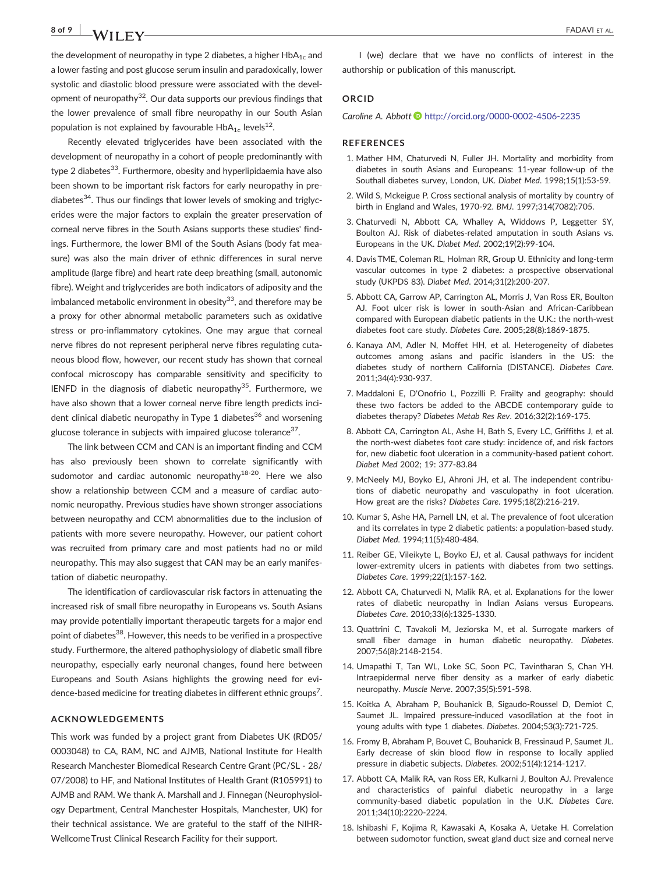# 8 of 9 **TADAVIET AL.** FADAVIET AL. **FADAVIET AL.**

the development of neuropathy in type 2 diabetes, a higher  $HbA_{1c}$  and a lower fasting and post glucose serum insulin and paradoxically, lower systolic and diastolic blood pressure were associated with the development of neuropathy $32$ . Our data supports our previous findings that the lower prevalence of small fibre neuropathy in our South Asian population is not explained by favourable  $HbA_{1c}$  levels<sup>12</sup>.

Recently elevated triglycerides have been associated with the development of neuropathy in a cohort of people predominantly with type 2 diabetes<sup>33</sup>. Furthermore, obesity and hyperlipidaemia have also been shown to be important risk factors for early neuropathy in pre‐ diabetes<sup>34</sup>. Thus our findings that lower levels of smoking and triglycerides were the major factors to explain the greater preservation of corneal nerve fibres in the South Asians supports these studies' findings. Furthermore, the lower BMI of the South Asians (body fat measure) was also the main driver of ethnic differences in sural nerve amplitude (large fibre) and heart rate deep breathing (small, autonomic fibre). Weight and triglycerides are both indicators of adiposity and the imbalanced metabolic environment in obesity<sup>33</sup>, and therefore may be a proxy for other abnormal metabolic parameters such as oxidative stress or pro-inflammatory cytokines. One may argue that corneal nerve fibres do not represent peripheral nerve fibres regulating cutaneous blood flow, however, our recent study has shown that corneal confocal microscopy has comparable sensitivity and specificity to IENFD in the diagnosis of diabetic neuropathy<sup>35</sup>. Furthermore, we have also shown that a lower corneal nerve fibre length predicts incident clinical diabetic neuropathy in Type 1 diabetes<sup>36</sup> and worsening glucose tolerance in subjects with impaired glucose tolerance $37$ .

The link between CCM and CAN is an important finding and CCM has also previously been shown to correlate significantly with sudomotor and cardiac autonomic neuropathy<sup>18-20</sup>. Here we also show a relationship between CCM and a measure of cardiac autonomic neuropathy. Previous studies have shown stronger associations between neuropathy and CCM abnormalities due to the inclusion of patients with more severe neuropathy. However, our patient cohort was recruited from primary care and most patients had no or mild neuropathy. This may also suggest that CAN may be an early manifestation of diabetic neuropathy.

The identification of cardiovascular risk factors in attenuating the increased risk of small fibre neuropathy in Europeans vs. South Asians may provide potentially important therapeutic targets for a major end point of diabetes<sup>38</sup>. However, this needs to be verified in a prospective study. Furthermore, the altered pathophysiology of diabetic small fibre neuropathy, especially early neuronal changes, found here between Europeans and South Asians highlights the growing need for evidence-based medicine for treating diabetes in different ethnic groups<sup>7</sup>.

### ACKNOWLEDGEMENTS

This work was funded by a project grant from Diabetes UK (RD05/ 0003048) to CA, RAM, NC and AJMB, National Institute for Health Research Manchester Biomedical Research Centre Grant (PC/SL ‐ 28/ 07/2008) to HF, and National Institutes of Health Grant (R105991) to AJMB and RAM. We thank A. Marshall and J. Finnegan (Neurophysiology Department, Central Manchester Hospitals, Manchester, UK) for their technical assistance. We are grateful to the staff of the NIHR‐ Wellcome Trust Clinical Research Facility for their support.

I (we) declare that we have no conflicts of interest in the authorship or publication of this manuscript.

#### **ORCID**

Caroline A. Abbott **<http://orcid.org/0000-0002-4506-2235>** 

#### **REFERENCES**

- 1. Mather HM, Chaturvedi N, Fuller JH. Mortality and morbidity from diabetes in south Asians and Europeans: 11‐year follow‐up of the Southall diabetes survey, London, UK. Diabet Med. 1998;15(1):53‐59.
- 2. Wild S, Mckeigue P. Cross sectional analysis of mortality by country of birth in England and Wales, 1970‐92. BMJ. 1997;314(7082):705.
- 3. Chaturvedi N, Abbott CA, Whalley A, Widdows P, Leggetter SY, Boulton AJ. Risk of diabetes‐related amputation in south Asians vs. Europeans in the UK. Diabet Med. 2002;19(2):99‐104.
- 4. Davis TME, Coleman RL, Holman RR, Group U. Ethnicity and long‐term vascular outcomes in type 2 diabetes: a prospective observational study (UKPDS 83). Diabet Med. 2014;31(2):200‐207.
- 5. Abbott CA, Garrow AP, Carrington AL, Morris J, Van Ross ER, Boulton AJ. Foot ulcer risk is lower in south‐Asian and African‐Caribbean compared with European diabetic patients in the U.K.: the north‐west diabetes foot care study. Diabetes Care. 2005;28(8):1869‐1875.
- 6. Kanaya AM, Adler N, Moffet HH, et al. Heterogeneity of diabetes outcomes among asians and pacific islanders in the US: the diabetes study of northern California (DISTANCE). Diabetes Care. 2011;34(4):930‐937.
- 7. Maddaloni E, D'Onofrio L, Pozzilli P. Frailty and geography: should these two factors be added to the ABCDE contemporary guide to diabetes therapy? Diabetes Metab Res Rev. 2016;32(2):169‐175.
- 8. Abbott CA, Carrington AL, Ashe H, Bath S, Every LC, Griffiths J, et al. the north‐west diabetes foot care study: incidence of, and risk factors for, new diabetic foot ulceration in a community‐based patient cohort. Diabet Med 2002; 19: 377‐83.84
- 9. McNeely MJ, Boyko EJ, Ahroni JH, et al. The independent contributions of diabetic neuropathy and vasculopathy in foot ulceration. How great are the risks? Diabetes Care. 1995;18(2):216‐219.
- 10. Kumar S, Ashe HA, Parnell LN, et al. The prevalence of foot ulceration and its correlates in type 2 diabetic patients: a population‐based study. Diabet Med. 1994;11(5):480‐484.
- 11. Reiber GE, Vileikyte L, Boyko EJ, et al. Causal pathways for incident lower-extremity ulcers in patients with diabetes from two settings. Diabetes Care. 1999;22(1):157‐162.
- 12. Abbott CA, Chaturvedi N, Malik RA, et al. Explanations for the lower rates of diabetic neuropathy in Indian Asians versus Europeans. Diabetes Care. 2010;33(6):1325‐1330.
- 13. Quattrini C, Tavakoli M, Jeziorska M, et al. Surrogate markers of small fiber damage in human diabetic neuropathy. Diabetes. 2007;56(8):2148‐2154.
- 14. Umapathi T, Tan WL, Loke SC, Soon PC, Tavintharan S, Chan YH. Intraepidermal nerve fiber density as a marker of early diabetic neuropathy. Muscle Nerve. 2007;35(5):591‐598.
- 15. Koitka A, Abraham P, Bouhanick B, Sigaudo‐Roussel D, Demiot C, Saumet JL. Impaired pressure‐induced vasodilation at the foot in young adults with type 1 diabetes. Diabetes. 2004;53(3):721‐725.
- 16. Fromy B, Abraham P, Bouvet C, Bouhanick B, Fressinaud P, Saumet JL. Early decrease of skin blood flow in response to locally applied pressure in diabetic subjects. Diabetes. 2002;51(4):1214‐1217.
- 17. Abbott CA, Malik RA, van Ross ER, Kulkarni J, Boulton AJ. Prevalence and characteristics of painful diabetic neuropathy in a large community-based diabetic population in the U.K. Diabetes Care. 2011;34(10):2220‐2224.
- 18. Ishibashi F, Kojima R, Kawasaki A, Kosaka A, Uetake H. Correlation between sudomotor function, sweat gland duct size and corneal nerve